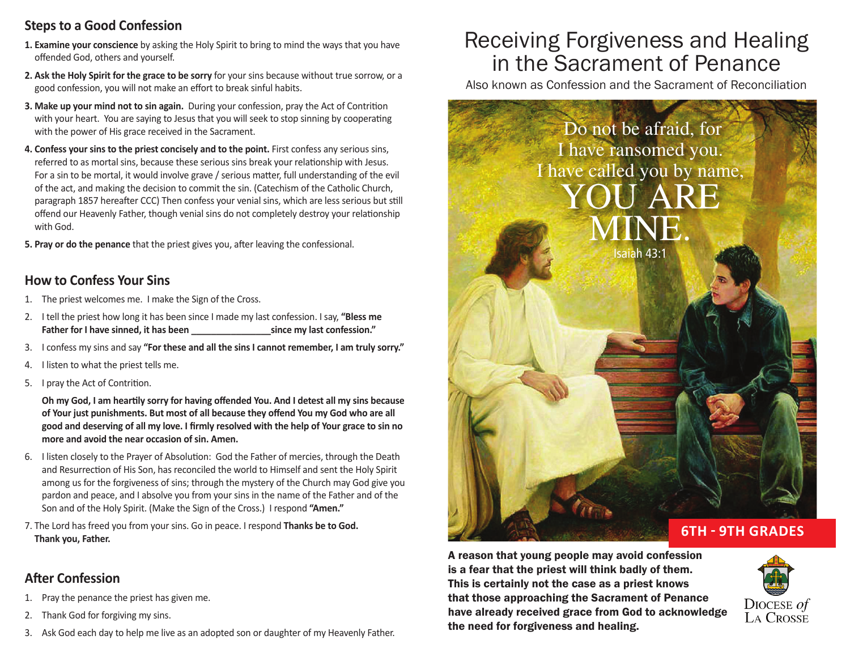# **Steps to a Good Confession**

- **1. Examine your conscience** by asking the Holy Spirit to bring to mind the ways that you have offended God, others and yourself.
- **2. Ask the Holy Spirit for the grace to be sorry** for your sins because without true sorrow, or a good confession, you will not make an effort to break sinful habits.
- **3. Make up your mind not to sin again.** During your confession, pray the Act of Contrition with your heart. You are saying to Jesus that you will seek to stop sinning by cooperating with the power of His grace received in the Sacrament.
- **4. Confess your sins to the priest concisely and to the point.** First confess any serious sins, referred to as mortal sins, because these serious sins break your relationship with Jesus. For a sin to be mortal, it would involve grave / serious matter, full understanding of the evil of the act, and making the decision to commit the sin. (Catechism of the Catholic Church, paragraph 1857 hereafter CCC) Then confess your venial sins, which are less serious but still offend our Heavenly Father, though venial sins do not completely destroy your relationship with God.
- **5. Pray or do the penance** that the priest gives you, after leaving the confessional.

## **How to Confess Your Sins**

- 1. The priest welcomes me. I make the Sign of the Cross.
- 2. I tell the priest how long it has been since I made my last confession. I say, **"Bless me Father for I have sinned, it has been \_\_\_\_\_\_\_\_\_\_\_\_\_\_\_\_since my last confession."**
- 3. I confess my sins and say **"For these and all the sins I cannot remember, I am truly sorry."**
- 4. I listen to what the priest tells me.
- 5. I pray the Act of Contrition.

 **Oh my God, I am heartily sorry for having offended You. And I detest all my sins because of Your just punishments. But most of all because they offend You my God who are all good and deserving of all my love. I firmly resolved with the help of Your grace to sin no more and avoid the near occasion of sin. Amen.**

- 6. I listen closely to the Prayer of Absolution: God the Father of mercies, through the Death and Resurrection of His Son, has reconciled the world to Himself and sent the Holy Spirit among us for the forgiveness of sins; through the mystery of the Church may God give you pardon and peace, and I absolve you from your sins in the name of the Father and of the Son and of the Holy Spirit. (Make the Sign of the Cross.) I respond **"Amen."**
- 7. The Lord has freed you from your sins. Go in peace. I respond **Thanks be to God. Thank you, Father.**

# **After Confession**

- 1. Pray the penance the priest has given me.
- 2. Thank God for forgiving my sins.
- 3. Ask God each day to help me live as an adopted son or daughter of my Heavenly Father.

# Receiving Forgiveness and Healing in the Sacrament of Penance

Also known as Confession and the Sacrament of Reconciliation



A reason that young people may avoid confession is a fear that the priest will think badly of them. This is certainly not the case as a priest knows that those approaching the Sacrament of Penance have already received grace from God to acknowledge the need for forgiveness and healing.